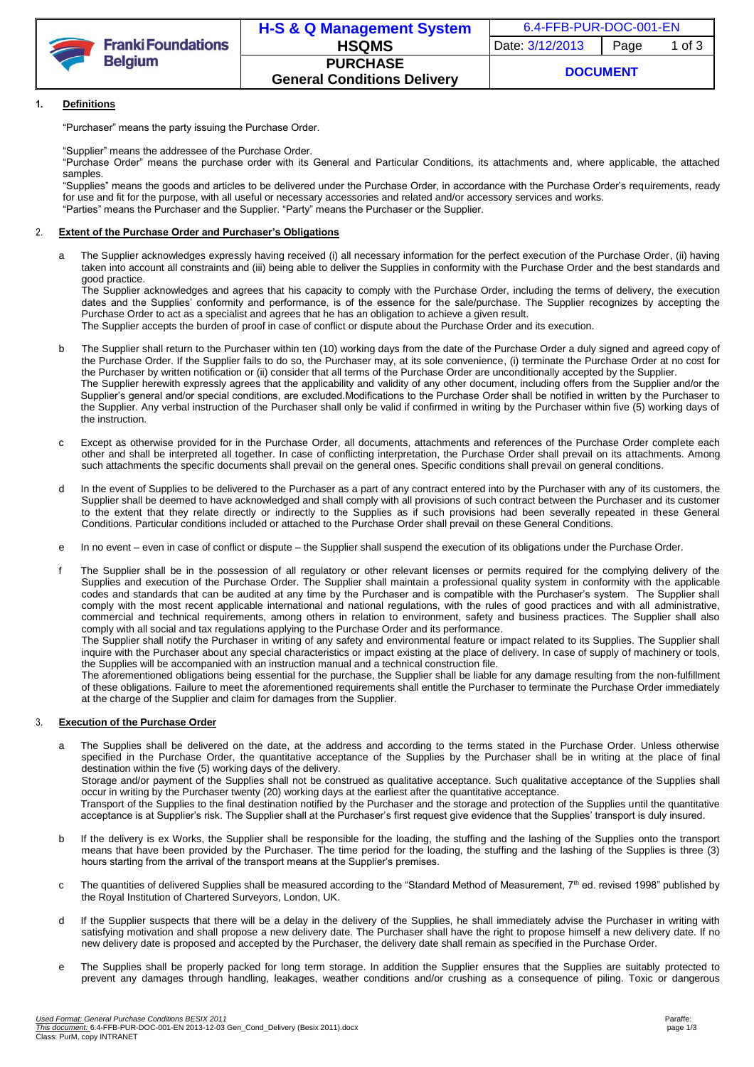

### **1. Definitions**

"Purchaser" means the party issuing the Purchase Order.

"Supplier" means the addressee of the Purchase Order.

"Purchase Order" means the purchase order with its General and Particular Conditions, its attachments and, where applicable, the attached samples.

"Supplies" means the goods and articles to be delivered under the Purchase Order, in accordance with the Purchase Order's requirements, ready for use and fit for the purpose, with all useful or necessary accessories and related and/or accessory services and works. "Parties" means the Purchaser and the Supplier. "Party" means the Purchaser or the Supplier.

### 2. **Extent of the Purchase Order and Purchaser's Obligations**

a The Supplier acknowledges expressly having received (i) all necessary information for the perfect execution of the Purchase Order, (ii) having taken into account all constraints and (iii) being able to deliver the Supplies in conformity with the Purchase Order and the best standards and good practice.

The Supplier acknowledges and agrees that his capacity to comply with the Purchase Order, including the terms of delivery, the execution dates and the Supplies' conformity and performance, is of the essence for the sale/purchase. The Supplier recognizes by accepting the Purchase Order to act as a specialist and agrees that he has an obligation to achieve a given result.

The Supplier accepts the burden of proof in case of conflict or dispute about the Purchase Order and its execution.

- b The Supplier shall return to the Purchaser within ten (10) working days from the date of the Purchase Order a duly signed and agreed copy of the Purchase Order. If the Supplier fails to do so, the Purchaser may, at its sole convenience, (i) terminate the Purchase Order at no cost for the Purchaser by written notification or (ii) consider that all terms of the Purchase Order are unconditionally accepted by the Supplier. The Supplier herewith expressly agrees that the applicability and validity of any other document, including offers from the Supplier and/or the Supplier's general and/or special conditions, are excluded.Modifications to the Purchase Order shall be notified in written by the Purchaser to the Supplier. Any verbal instruction of the Purchaser shall only be valid if confirmed in writing by the Purchaser within five (5) working days of the instruction.
- c Except as otherwise provided for in the Purchase Order, all documents, attachments and references of the Purchase Order complete each other and shall be interpreted all together. In case of conflicting interpretation, the Purchase Order shall prevail on its attachments. Among such attachments the specific documents shall prevail on the general ones. Specific conditions shall prevail on general conditions.
- d In the event of Supplies to be delivered to the Purchaser as a part of any contract entered into by the Purchaser with any of its customers, the Supplier shall be deemed to have acknowledged and shall comply with all provisions of such contract between the Purchaser and its customer to the extent that they relate directly or indirectly to the Supplies as if such provisions had been severally repeated in these General Conditions. Particular conditions included or attached to the Purchase Order shall prevail on these General Conditions.
- e In no event even in case of conflict or dispute the Supplier shall suspend the execution of its obligations under the Purchase Order.
- f The Supplier shall be in the possession of all regulatory or other relevant licenses or permits required for the complying delivery of the Supplies and execution of the Purchase Order. The Supplier shall maintain a professional quality system in conformity with the applicable codes and standards that can be audited at any time by the Purchaser and is compatible with the Purchaser's system. The Supplier shall comply with the most recent applicable international and national regulations, with the rules of good practices and with all administrative, commercial and technical requirements, among others in relation to environment, safety and business practices. The Supplier shall also comply with all social and tax regulations applying to the Purchase Order and its performance.

The Supplier shall notify the Purchaser in writing of any safety and environmental feature or impact related to its Supplies. The Supplier shall inquire with the Purchaser about any special characteristics or impact existing at the place of delivery. In case of supply of machinery or tools, the Supplies will be accompanied with an instruction manual and a technical construction file.

The aforementioned obligations being essential for the purchase, the Supplier shall be liable for any damage resulting from the non-fulfillment of these obligations. Failure to meet the aforementioned requirements shall entitle the Purchaser to terminate the Purchase Order immediately at the charge of the Supplier and claim for damages from the Supplier.

#### 3. **Execution of the Purchase Order**

- a The Supplies shall be delivered on the date, at the address and according to the terms stated in the Purchase Order. Unless otherwise specified in the Purchase Order, the quantitative acceptance of the Supplies by the Purchaser shall be in writing at the place of final destination within the five (5) working days of the delivery. Storage and/or payment of the Supplies shall not be construed as qualitative acceptance. Such qualitative acceptance of the Supplies shall occur in writing by the Purchaser twenty (20) working days at the earliest after the quantitative acceptance. Transport of the Supplies to the final destination notified by the Purchaser and the storage and protection of the Supplies until the quantitative acceptance is at Supplier's risk. The Supplier shall at the Purchaser's first request give evidence that the Supplies' transport is duly insured.
- b If the delivery is ex Works, the Supplier shall be responsible for the loading, the stuffing and the lashing of the Supplies onto the transport means that have been provided by the Purchaser. The time period for the loading, the stuffing and the lashing of the Supplies is three (3) hours starting from the arrival of the transport means at the Supplier's premises.
- c The quantities of delivered Supplies shall be measured according to the "Standard Method of Measurement, 7<sup>th</sup> ed. revised 1998" published by the Royal Institution of Chartered Surveyors, London, UK.
- d If the Supplier suspects that there will be a delay in the delivery of the Supplies, he shall immediately advise the Purchaser in writing with satisfying motivation and shall propose a new delivery date. The Purchaser shall have the right to propose himself a new delivery date. If no new delivery date is proposed and accepted by the Purchaser, the delivery date shall remain as specified in the Purchase Order.
- e The Supplies shall be properly packed for long term storage. In addition the Supplier ensures that the Supplies are suitably protected to prevent any damages through handling, leakages, weather conditions and/or crushing as a consequence of piling. Toxic or dangerous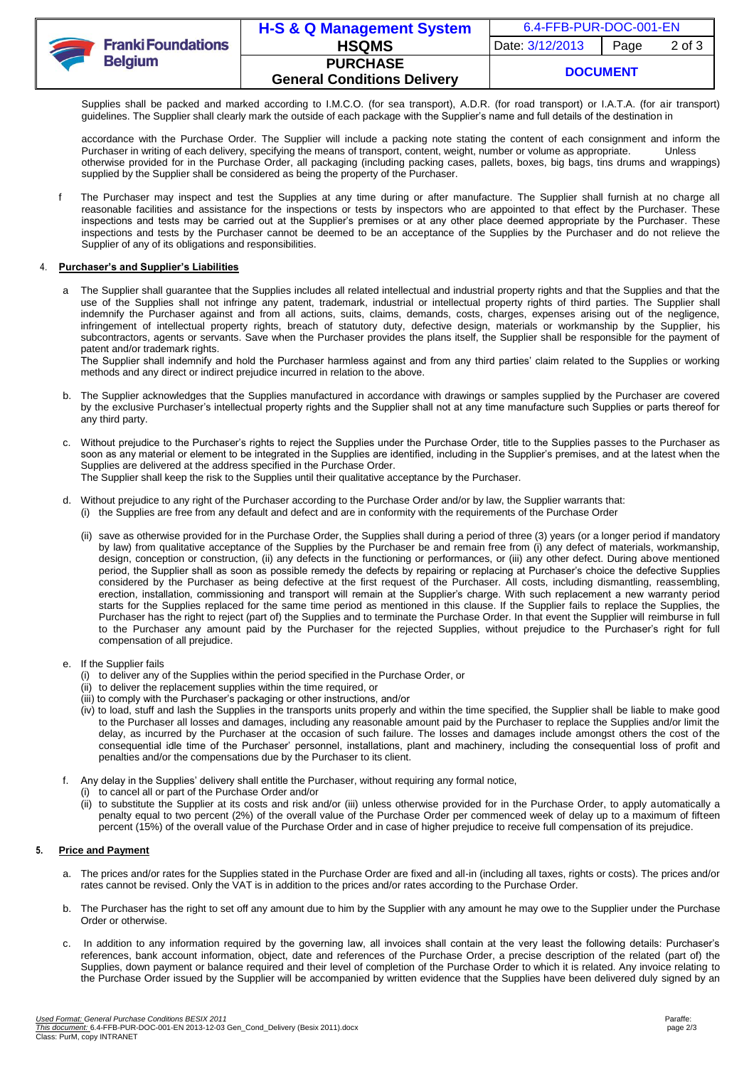|  | <b>Franki Foundations</b><br><b>Belgium</b> | H-S & Q Management System          | 6.4-FFB-PUR-DOC-001-EN |      |        |
|--|---------------------------------------------|------------------------------------|------------------------|------|--------|
|  |                                             | <b>HSQMS</b>                       | Date: 3/12/2013        | Page | 2 of 3 |
|  |                                             | <b>PURCHASE</b>                    | <b>DOCUMENT</b>        |      |        |
|  |                                             | <b>General Conditions Delivery</b> |                        |      |        |

Supplies shall be packed and marked according to I.M.C.O. (for sea transport), A.D.R. (for road transport) or I.A.T.A. (for air transport) guidelines. The Supplier shall clearly mark the outside of each package with the Supplier's name and full details of the destination in

accordance with the Purchase Order. The Supplier will include a packing note stating the content of each consignment and inform the Purchaser in writing of each delivery, specifying the means of transport, content, weight, Purchaser in writing of each delivery, specifying the means of transport, content, weight, number or volume as appropriate. otherwise provided for in the Purchase Order, all packaging (including packing cases, pallets, boxes, big bags, tins drums and wrappings) supplied by the Supplier shall be considered as being the property of the Purchaser.

f The Purchaser may inspect and test the Supplies at any time during or after manufacture. The Supplier shall furnish at no charge all reasonable facilities and assistance for the inspections or tests by inspectors who are appointed to that effect by the Purchaser. These inspections and tests may be carried out at the Supplier's premises or at any other place deemed appropriate by the Purchaser. These inspections and tests by the Purchaser cannot be deemed to be an acceptance of the Supplies by the Purchaser and do not relieve the Supplier of any of its obligations and responsibilities.

#### 4. **Purchaser's and Supplier's Liabilities**

a The Supplier shall guarantee that the Supplies includes all related intellectual and industrial property rights and that the Supplies and that the use of the Supplies shall not infringe any patent, trademark, industrial or intellectual property rights of third parties. The Supplier shall indemnify the Purchaser against and from all actions, suits, claims, demands, costs, charges, expenses arising out of the negligence, infringement of intellectual property rights, breach of statutory duty, defective design, materials or workmanship by the Supplier, his subcontractors, agents or servants. Save when the Purchaser provides the plans itself, the Supplier shall be responsible for the payment of patent and/or trademark rights.

The Supplier shall indemnify and hold the Purchaser harmless against and from any third parties' claim related to the Supplies or working methods and any direct or indirect prejudice incurred in relation to the above.

- b. The Supplier acknowledges that the Supplies manufactured in accordance with drawings or samples supplied by the Purchaser are covered by the exclusive Purchaser's intellectual property rights and the Supplier shall not at any time manufacture such Supplies or parts thereof for any third party.
- c. Without prejudice to the Purchaser's rights to reject the Supplies under the Purchase Order, title to the Supplies passes to the Purchaser as soon as any material or element to be integrated in the Supplies are identified, including in the Supplier's premises, and at the latest when the Supplies are delivered at the address specified in the Purchase Order. The Supplier shall keep the risk to the Supplies until their qualitative acceptance by the Purchaser.
- d. Without prejudice to any right of the Purchaser according to the Purchase Order and/or by law, the Supplier warrants that: (i) the Supplies are free from any default and defect and are in conformity with the requirements of the Purchase Order
	- (ii) save as otherwise provided for in the Purchase Order, the Supplies shall during a period of three (3) years (or a longer period if mandatory by law) from qualitative acceptance of the Supplies by the Purchaser be and remain free from (i) any defect of materials, workmanship, design, conception or construction, (ii) any defects in the functioning or performances, or (iii) any other defect. During above mentioned period, the Supplier shall as soon as possible remedy the defects by repairing or replacing at Purchaser's choice the defective Supplies considered by the Purchaser as being defective at the first request of the Purchaser. All costs, including dismantling, reassembling, erection, installation, commissioning and transport will remain at the Supplier's charge. With such replacement a new warranty period starts for the Supplies replaced for the same time period as mentioned in this clause. If the Supplier fails to replace the Supplies, the Purchaser has the right to reject (part of) the Supplies and to terminate the Purchase Order. In that event the Supplier will reimburse in full to the Purchaser any amount paid by the Purchaser for the rejected Supplies, without prejudice to the Purchaser's right for full compensation of all prejudice.
- e. If the Supplier fails
	- (i) to deliver any of the Supplies within the period specified in the Purchase Order, or
	- (ii) to deliver the replacement supplies within the time required, or
	- (iii) to comply with the Purchaser's packaging or other instructions, and/or
	- (iv) to load, stuff and lash the Supplies in the transports units properly and within the time specified, the Supplier shall be liable to make good to the Purchaser all losses and damages, including any reasonable amount paid by the Purchaser to replace the Supplies and/or limit the delay, as incurred by the Purchaser at the occasion of such failure. The losses and damages include amongst others the cost of the consequential idle time of the Purchaser' personnel, installations, plant and machinery, including the consequential loss of profit and penalties and/or the compensations due by the Purchaser to its client.
- f. Any delay in the Supplies' delivery shall entitle the Purchaser, without requiring any formal notice,
	- (i) to cancel all or part of the Purchase Order and/or
	- (ii) to substitute the Supplier at its costs and risk and/or (iii) unless otherwise provided for in the Purchase Order, to apply automatically a penalty equal to two percent (2%) of the overall value of the Purchase Order per commenced week of delay up to a maximum of fifteen percent (15%) of the overall value of the Purchase Order and in case of higher prejudice to receive full compensation of its prejudice.

## **5. Price and Payment**

- a. The prices and/or rates for the Supplies stated in the Purchase Order are fixed and all-in (including all taxes, rights or costs). The prices and/or rates cannot be revised. Only the VAT is in addition to the prices and/or rates according to the Purchase Order.
- b. The Purchaser has the right to set off any amount due to him by the Supplier with any amount he may owe to the Supplier under the Purchase Order or otherwise.
- c. In addition to any information required by the governing law, all invoices shall contain at the very least the following details: Purchaser's references, bank account information, object, date and references of the Purchase Order, a precise description of the related (part of) the Supplies, down payment or balance required and their level of completion of the Purchase Order to which it is related. Any invoice relating to the Purchase Order issued by the Supplier will be accompanied by written evidence that the Supplies have been delivered duly signed by an